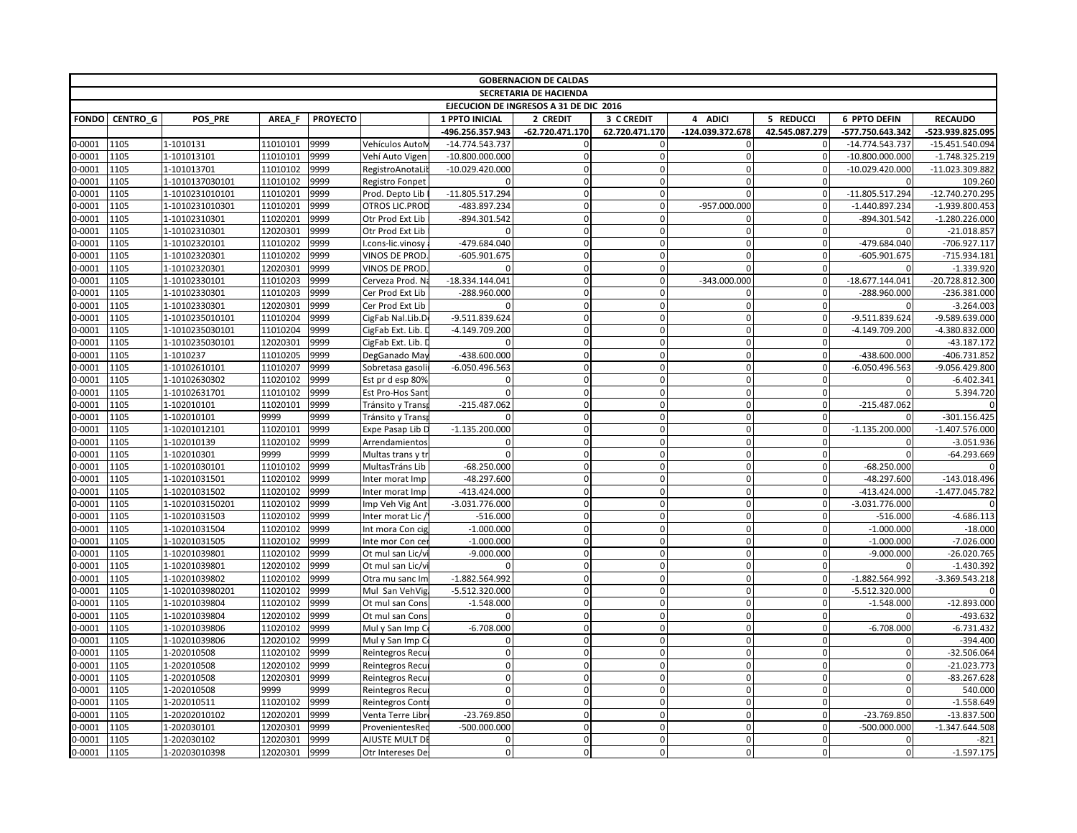|                  | <b>GOBERNACION DE CALDAS</b><br><b>SECRETARIA DE HACIENDA</b> |                                |                      |                 |                                           |                                |                         |                      |                          |                            |                                |                              |
|------------------|---------------------------------------------------------------|--------------------------------|----------------------|-----------------|-------------------------------------------|--------------------------------|-------------------------|----------------------|--------------------------|----------------------------|--------------------------------|------------------------------|
|                  | EJECUCION DE INGRESOS A 31 DE DIC 2016                        |                                |                      |                 |                                           |                                |                         |                      |                          |                            |                                |                              |
|                  |                                                               |                                |                      |                 |                                           |                                |                         |                      |                          |                            |                                |                              |
| <b>FONDO</b>     | <b>CENTRO G</b>                                               | POS PRE                        | AREA F               | <b>PROYECTO</b> |                                           | 1 PPTO INICIAL                 | 2 CREDIT                | 3 C CREDIT           | 4 ADICI                  | 5 REDUCCI                  | 6 PPTO DEFIN                   | <b>RECAUDO</b>               |
|                  |                                                               |                                |                      |                 |                                           | -496.256.357.943               | -62.720.471.170         | 62.720.471.170       | -124.039.372.678         | 42.545.087.279             | -577.750.643.342               | -523.939.825.095             |
| $0 - 0001$       | 1105                                                          | 1-1010131                      | 11010101             | 9999            | Vehículos AutoN                           | $-14.774.543.737$              |                         |                      |                          |                            | $-14.774.543.737$              | $-15.451.540.094$            |
| 0-0001           | 1105                                                          | 1-101013101                    | 11010101             | 9999            | Vehí Auto Vigen                           | $-10.800.000.000$              | $\mathbf 0$             | $\Omega$             | $\mathbf 0$              | $\Omega$                   | $-10.800.000.000$              | $-1.748.325.219$             |
| $-0001$          | 1105                                                          | 1-101013701                    | 11010102             | 9999            | RegistroAnotaLi                           | $-10.029.420.000$              | $\Omega$<br>$\Omega$    | $\Omega$             | $\mathbf{0}$             | $\Omega$                   | $-10.029.420.000$              | -11.023.309.882              |
| 0-0001           | 1105                                                          | 1-1010137030101                | 11010102             | 9999            | Registro Fonpet                           |                                |                         | $\Omega$             | $\Omega$<br>$\Omega$     | $\mathbf{0}$               |                                | 109.260                      |
| 0-0001           | 1105                                                          | 1-1010231010101                | 11010201             | 9999            | Prod. Depto Lib                           | -11.805.517.294                | $\mathbf 0$             |                      |                          | $\Omega$                   | -11.805.517.294                | -12.740.270.295              |
| 0-0001           | 1105                                                          | 1-1010231010301                | 11010201             | 9999            | OTROS LIC.PROD                            | -483.897.234                   | $\Omega$<br>$\Omega$    | $\Omega$<br>$\Omega$ | -957.000.000<br>$\Omega$ | $\Omega$<br>$\overline{0}$ | $-1.440.897.234$               | $-1.939.800.453$             |
| $0-0001$         | 1105                                                          | 1-10102310301                  | 11020201             | 9999            | Otr Prod Ext Lib                          | -894.301.542                   |                         | $\Omega$             |                          | 0                          | -894.301.542                   | $-1.280.226.000$             |
| 0-0001           | 1105                                                          | 1-10102310301                  | 12020301             | 9999            | Otr Prod Ext Lib                          |                                | $\mathbf 0$<br>$\Omega$ | $\Omega$             | $\mathbf{0}$<br>$\Omega$ | $\Omega$                   |                                | $-21.018.857$                |
| 0-0001<br>0-0001 | 1105<br>1105                                                  | 1-10102320101<br>1-10102320301 | 11010202<br>11010202 | 9999<br>9999    | I.cons-lic.vinosy<br><b>VINOS DE PROD</b> | -479.684.040<br>$-605.901.675$ | $\mathbf 0$             | $\Omega$             | $\Omega$                 | $\mathbf{0}$               | -479.684.040<br>$-605.901.675$ | -706.927.117<br>-715.934.181 |
| 0-0001           | 1105                                                          | 1-10102320301                  | 12020301             | 9999            | VINOS DE PROD                             |                                | $\mathbf 0$             |                      |                          | $\Omega$                   |                                | $-1.339.920$                 |
| 0-0001           | 1105                                                          | 1-10102330101                  | 11010203             | 9999            |                                           | $-18.334.144.041$              | $\Omega$                | $\Omega$             | $-343.000.000$           | $\Omega$                   | $-18.677.144.041$              | -20.728.812.300              |
| 0-0001           | 1105                                                          | 1-10102330301                  | 11010203             | 9999            | Cerveza Prod. N<br>Cer Prod Ext Lib       | -288.960.000                   | $\mathbf 0$             | $\Omega$             | $\mathbf{0}$             | $\overline{0}$             | -288.960.000                   | -236.381.000                 |
| 0-0001           | 1105                                                          | 1-10102330301                  | 12020301             | 9999            | Cer Prod Ext Lib                          |                                | $\Omega$                | $\Omega$             | $\Omega$                 | $\Omega$                   | $\Omega$                       | $-3.264.003$                 |
| $0-0001$         | 1105                                                          | 1-1010235010101                | 11010204             | 9999            | CigFab Nal.Lib.D                          | -9.511.839.624                 | $\mathbf 0$             | $\Omega$             | $\mathbf{0}$             | $\overline{0}$             | -9.511.839.624                 | -9.589.639.000               |
| 0-0001           | 1105                                                          | 1-1010235030101                | 11010204             | 9999            | CigFab Ext. Lib. I                        | -4.149.709.200                 | $\mathbf 0$             | $\Omega$             | $\Omega$                 | $\Omega$                   | -4.149.709.200                 | -4.380.832.000               |
| $0 - 0001$       | 1105                                                          | 1-1010235030101                | 12020301             | 9999            | CigFab Ext. Lib. I                        |                                | $\Omega$                | $\Omega$             | $\Omega$                 | $\Omega$                   | $\Omega$                       | $-43.187.172$                |
| $-0001$          | 1105                                                          | 1-1010237                      | 11010205             | 9999            | DegGanado May                             | $-438.600.000$                 | $\mathbf 0$             | $\Omega$             | $\Omega$                 | $\overline{0}$             | -438.600.000                   | -406.731.852                 |
| 0-0001           | 1105                                                          | 1-10102610101                  | 11010207             | 9999            | Sobretasa gasoli                          | $-6.050.496.563$               | $\mathbf 0$             | $\Omega$             | $\mathbf 0$              | $\mathbf{0}$               | $-6.050.496.563$               | -9.056.429.800               |
| 0-0001           | 1105                                                          | 1-10102630302                  | 11020102             | 9999            | Est pr d esp 80%                          | <sup>0</sup>                   | $\Omega$                | $\Omega$             | $\Omega$                 | $\Omega$                   | $\Omega$                       | $-6.402.341$                 |
| $-0001$          | 1105                                                          | 1-10102631701                  | 11010102             | 9999            | Est Pro-Hos Sant                          |                                | $\Omega$                |                      | $\Omega$                 | $\Omega$                   | $\Omega$                       | 5.394.720                    |
| 0-0001           | 1105                                                          | 1-102010101                    | 11020101             | 9999            | Tránsito y Trans                          | $-215.487.062$                 | $\mathbf 0$             | $\Omega$             | $\mathbf 0$              | $\mathbf{0}$               | $-215.487.062$                 |                              |
| 0-0001           | 1105                                                          | 1-102010101                    | 9999                 | 9999            | Tránsito y Trans                          | $\Omega$                       | $\mathbf 0$             | $\Omega$             | $\mathbf{0}$             | $\mathbf{0}$               | $\Omega$                       | $-301.156.425$               |
| 0001-0           | 1105                                                          | 1-10201012101                  | 11020101             | 9999            | Expe Pasap Lib D                          | $-1.135.200.000$               | $\Omega$                |                      | $\Omega$                 | $\Omega$                   | $-1.135.200.000$               | $-1.407.576.000$             |
| 0-0001           | 1105                                                          | 1-102010139                    | 11020102             | 9999            | Arrendamientos                            | $\Omega$                       | $\mathbf 0$             | $\Omega$             | $\Omega$                 | $\Omega$                   | $\Omega$                       | $-3.051.936$                 |
| $-0001$          | 1105                                                          | 1-102010301                    | 9999                 | 9999            | Multas trans y tr                         | $\mathbf 0$                    | $\mathbf 0$             | $\mathbf{0}$         | $\mathbf{0}$             | $\overline{0}$             | $\Omega$                       | -64.293.669                  |
| $0-0001$         | 1105                                                          | 1-10201030101                  | 11010102             | 9999            | MultasTráns Lib                           | $-68.250.000$                  | $\Omega$                | $\Omega$             | $\Omega$                 | $\mathbf{0}$               | $-68.250.000$                  |                              |
| 0-0001           | 1105                                                          | 1-10201031501                  | 11020102             | 9999            | Inter morat Imp                           | $-48.297.600$                  | $\mathbf 0$             | $\Omega$             | $\Omega$                 | $\mathbf{0}$               | -48.297.600                    | -143.018.496                 |
| 0-0001           | 1105                                                          | 1-10201031502                  | 11020102             | 9999            | Inter morat Imp                           | -413.424.000                   | $\mathbf 0$             | $\mathbf{0}$         | $\Omega$                 | $\mathbf{0}$               | -413.424.000                   | $-1.477.045.782$             |
| 0-0001           | 1105                                                          | 1-1020103150201                | 11020102             | 9999            | Imp Veh Vig Ant                           | $-3.031.776.000$               | $\mathbf 0$             | $\Omega$             | $\Omega$                 | $\mathbf{0}$               | -3.031.776.000                 |                              |
| 0-0001           | 1105                                                          | 1-10201031503                  | 11020102             | 9999            | Inter morat Lic                           | $-516.000$                     | $\Omega$                | $\Omega$             | $\Omega$                 | $\Omega$                   | $-516.000$                     | $-4.686.113$                 |
| 0-0001           | 1105                                                          | 1-10201031504                  | 11020102             | 9999            | Int mora Con cig                          | $-1.000.000$                   | $\Omega$                | $\Omega$             | $\Omega$                 | $\Omega$                   | $-1.000.000$                   | $-18.000$                    |
| $0-0001$         | 1105                                                          | 1-10201031505                  | 11020102             | 9999            | Inte mor Con ce                           | $-1.000.000$                   | $\Omega$                | <sup>0</sup>         | $\mathbf{0}$             | $\mathbf{0}$               | $-1.000.000$                   | $-7.026.000$                 |
| $0-0001$         | 1105                                                          | 1-10201039801                  | 11020102             | 9999            | Ot mul san Lic/v                          | $-9.000.000$                   | $\Omega$                |                      |                          | 0                          | $-9.000.000$                   | $-26.020.765$                |
| 0-0001           | 1105                                                          | 1-10201039801                  | 12020102             | 9999            | Ot mul san Lic/vi                         |                                | $\mathbf 0$             | $\Omega$             | $\Omega$                 | $\Omega$                   |                                | $-1.430.392$                 |
| 0-0001           | 1105                                                          | 1-10201039802                  | 11020102             | 9999            | Otra mu sanc Im                           | $-1.882.564.992$               | $\mathbf{0}$            | $\Omega$             | 0                        | $\overline{0}$             | $-1.882.564.992$               | -3.369.543.218               |
| 0-0001           | 1105                                                          | 1-1020103980201                | 11020102             | 9999            | Mul San VehVig                            | -5.512.320.000                 | $\Omega$                | $\Omega$             | $\Omega$                 | $\Omega$                   | -5.512.320.000                 |                              |
| 0-0001           | 1105                                                          | 1-10201039804                  | 11020102             | 9999            | Ot mul san Cons                           | $-1.548.000$                   | $\mathbf 0$             | $\Omega$             | $\mathbf{0}$             | $\mathbf{0}$               | $-1.548.000$                   | $-12.893.000$                |
| 0-0001           | 1105                                                          | 1-10201039804                  | 12020102             | 9999            | Ot mul san Cons                           |                                | $\Omega$                | $\Omega$             | $\Omega$                 | $\Omega$                   |                                | $-493.632$                   |
| $0 - 0001$       | 1105                                                          | 1-10201039806                  | 11020102             | 9999            | Mul y San Imp C                           | $-6.708.000$                   | $\Omega$                | $\Omega$             | $\Omega$                 | $\mathbf{0}$               | $-6.708.000$                   | $-6.731.432$                 |
| $-0001$          | 1105                                                          | 1-10201039806                  | 12020102             | 9999            | Mul y San Imp C                           |                                | $\mathbf 0$             | $\Omega$             | $\Omega$                 | $\Omega$                   |                                | $-394.400$                   |
| 0-0001           | 1105                                                          | 1-202010508                    | 11020102             | 9999            | Reintegros Recu                           | $\mathbf 0$                    | $\mathbf 0$             | $\Omega$             | $\mathbf 0$              | $\mathbf{0}$               | $\Omega$                       | -32.506.064                  |
| 0-0001           | 1105                                                          | 1-202010508                    | 12020102             | 9999            | Reintegros Recu                           | $\Omega$                       | $\Omega$                | $\Omega$             | $\Omega$                 | $\Omega$                   | $\Omega$                       | $-21.023.773$                |
| $0-0001$         | 1105                                                          | 1-202010508                    | 12020301             | 9999            | Reintegros Recu                           | $\Omega$                       | $\Omega$                | $\Omega$             | $\Omega$                 | $\Omega$                   | $\Omega$                       | $-83.267.628$                |
| 0-0001           | 1105                                                          | 1-202010508                    | 9999                 | 9999            | Reintegros Recu                           | $\Omega$                       | $\mathbf 0$             | $\Omega$             | $\mathbf 0$              | $\mathbf{0}$               | $\Omega$                       | 540.000                      |
| $-0001$          | 1105                                                          | 1-202010511                    | 11020102             | 9999            | Reintegros Cont                           | $\Omega$                       | $\Omega$                | $\Omega$             | $\Omega$                 | $\Omega$                   | $\Omega$                       | $-1.558.649$                 |
| 0-0001           | 1105                                                          | 1-20202010102                  | 12020201             | 9999            | Venta Terre Libr                          | -23.769.850                    | $\Omega$                |                      | $\Omega$                 | $\Omega$                   | -23.769.850                    | $-13.837.500$                |
| $0 - 0001$       | 1105                                                          | 1-202030101                    | 12020301             | 9999            | ProvenientesRe                            | $-500.000.000$                 | $\mathbf 0$             | $\Omega$             | $\mathbf 0$              | $\mathbf{0}$               | -500.000.000                   | $-1.347.644.508$             |
| 0-0001           | 1105                                                          | 1-202030102                    | 12020301             | 9999            | AJUSTE MULT DI                            | $\mathbf{0}$                   | $\mathbf 0$             | $\Omega$             | $\Omega$                 | $\mathbf{0}$               | $\Omega$                       | $-821$                       |
| 0-0001           | 1105                                                          | 1-20203010398                  | 12020301             | 9999            | Otr Intereses De:                         | $\Omega$                       | $\mathbf 0$             | $\mathbf{0}$         | $\Omega$                 | $\Omega$                   | $\mathbf 0$                    | $-1.597.175$                 |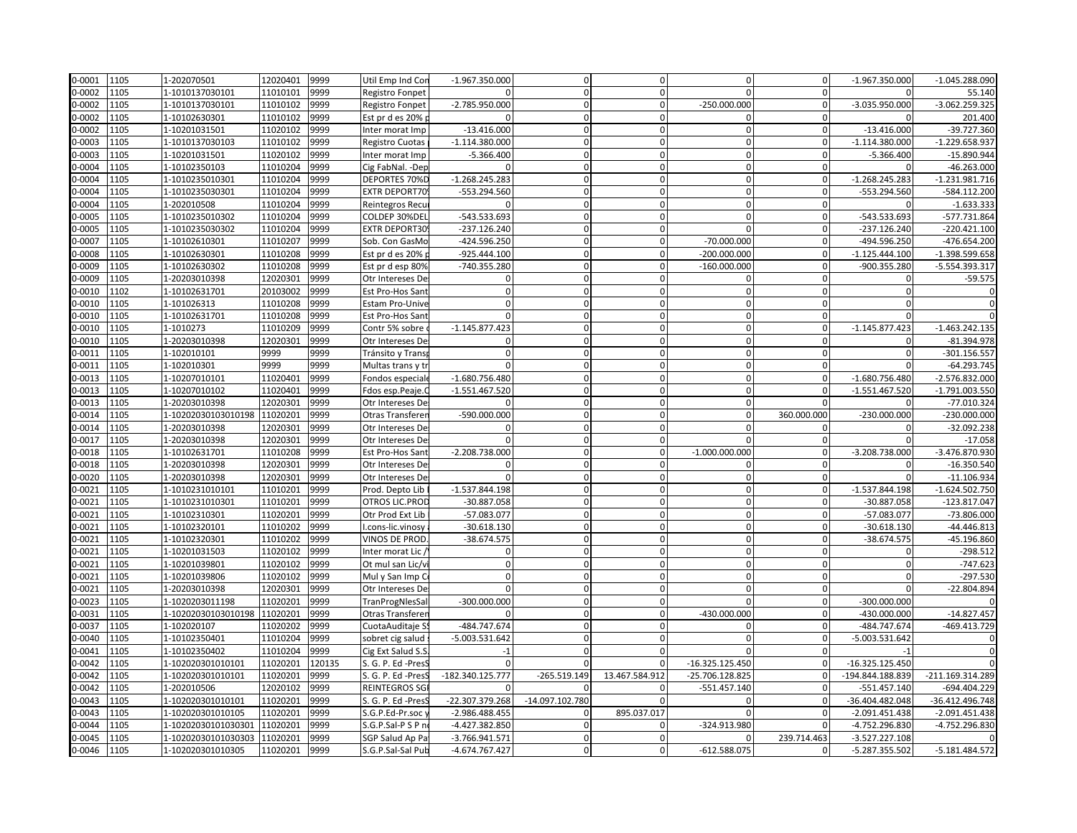| 0-0001     | 1105 | 1-202070501         | 12020401 | 9999   | Util Emp Ind Con       | $-1.967.350.000$ | $\mathbf 0$     | $\overline{0}$ | $\Omega$         | $\overline{0}$ | $-1.967.350.000$  | $-1.045.288.090$ |
|------------|------|---------------------|----------|--------|------------------------|------------------|-----------------|----------------|------------------|----------------|-------------------|------------------|
| 0-0002     | 1105 | 1-1010137030101     | 11010101 | 9999   | Registro Fonpet        |                  | $\Omega$        | $\Omega$       |                  | $\Omega$       |                   | 55.140           |
| 0-0002     | 1105 | 1-1010137030101     | 11010102 | 9999   | Registro Fonpet        | $-2.785.950.000$ | $\Omega$        | $\Omega$       | $-250.000.000$   | $\Omega$       | -3.035.950.000    | -3.062.259.325   |
| 0-0002     | 1105 | 1-10102630301       | 11010102 | 9999   | Est pr d es 20%        |                  | $\Omega$        | $\Omega$       |                  | $\Omega$       |                   | 201.400          |
| 0-0002     | 1105 | 1-10201031501       | 11020102 | 9999   | Inter morat Imp        | $-13.416.000$    | $\Omega$        | $\Omega$       | $\Omega$         | $\overline{0}$ | $-13.416.000$     | -39.727.360      |
| 0-0003     | 1105 | 1-1010137030103     | 11010102 | 9999   | <b>Registro Cuotas</b> | $-1.114.380.000$ | $\Omega$        | $\mathbf{0}$   | $\Omega$         | $\overline{0}$ | $-1.114.380.000$  | -1.229.658.937   |
| 0-0003     | 1105 | 1-10201031501       | 11020102 | 9999   | Inter morat Imp        | $-5.366.400$     | $\Omega$        | $\Omega$       | $\Omega$         | $\overline{0}$ | $-5.366.400$      | -15.890.944      |
| 0-0004     | 1105 | 1-10102350103       | 11010204 | 9999   | Cig FabNal. - Dep      | $\Omega$         | $\mathbf 0$     | $\overline{0}$ | $\mathbf{0}$     | $\mathbf{0}$   |                   | $-46.263.000$    |
| 0-0004     | 1105 | 1-1010235010301     | 11010204 | 9999   | DEPORTES 70%D          | $-1.268.245.283$ | $\Omega$        | $\Omega$       | $\Omega$         | $\Omega$       | $-1.268.245.283$  | $-1.231.981.716$ |
| 0-0004     | 1105 | 1-1010235030301     | 11010204 | 9999   | EXTR DEPORT70          | -553.294.560     | $\Omega$        |                |                  | $\Omega$       | -553.294.560      | -584.112.200     |
| 0-0004     | 1105 | 1-202010508         | 11010204 | 9999   | Reintegros Recu        |                  | $\overline{0}$  | $\Omega$       | $\mathbf 0$      | $\mathbf{0}$   |                   | $-1.633.333$     |
| 0-0005     | 1105 | 1-1010235010302     | 11010204 | 9999   | COLDEP 30%DEL          | -543.533.693     | $\mathbf 0$     | $\overline{0}$ | $\Omega$         | $\mathbf{0}$   | -543.533.693      | -577.731.864     |
| 0-0005     | 1105 | 1-1010235030302     | 11010204 | 9999   | EXTR DEPORT30          | $-237.126.240$   | $\Omega$        | $\Omega$       |                  | $\mathbf{0}$   | $-237.126.240$    | $-220.421.100$   |
| 0-0007     | 1105 | 1-10102610301       | 11010207 | 9999   | Sob. Con GasMo         | -424.596.250     | $\Omega$        | $\Omega$       | $-70.000.000$    | $\Omega$       | -494.596.250      | -476.654.200     |
| 0-0008     | 1105 | 1-10102630301       | 11010208 | 9999   | Est pr d es 20%        | -925.444.100     | $\mathbf 0$     | $\mathbf{0}$   | $-200.000.000$   | $\overline{0}$ | $-1.125.444.100$  | $-1.398.599.658$ |
| 0-0009     | 1105 | 1-10102630302       | 11010208 | 9999   | Est pr d esp 80%       | -740.355.280     | $\Omega$        | $\Omega$       | $-160.000.000$   | $\Omega$       | -900.355.280      | -5.554.393.317   |
| 0-0009     | 1105 | 1-20203010398       | 12020301 | 9999   | Otr Intereses De       | O                | $\Omega$        | $\Omega$       |                  | $\Omega$       |                   | $-59.575$        |
| 0-0010     | 1102 | 1-10102631701       | 20103002 | 9999   | Est Pro-Hos Sant       | $\mathbf 0$      | $\mathbf 0$     | $\Omega$       | $\mathbf 0$      | $\mathbf{0}$   | $\Omega$          | $\overline{0}$   |
| 0-0010     | 1105 | 1-101026313         | 11010208 | 9999   | Estam Pro-Unive        | $\Omega$         | $\Omega$        | $\Omega$       | $\Omega$         | $\Omega$       | $\Omega$          |                  |
| 0-0010     | 1105 | 1-10102631701       | 11010208 | 9999   | Est Pro-Hos Sant       | <sup>0</sup>     | $\Omega$        | $\Omega$       | $\Omega$         | $\Omega$       | $\Omega$          |                  |
| 0-0010     | 1105 | 1-1010273           | 11010209 | 9999   | Contr 5% sobre         | $-1.145.877.423$ | $\Omega$        | $\Omega$       | $\Omega$         | $\Omega$       | $-1.145.877.423$  | $-1.463.242.135$ |
| 0-0010     | 1105 | 1-20203010398       | 12020301 | 9999   | Otr Intereses De       | $\Omega$         | $\Omega$        | $\Omega$       | $\Omega$         | $\Omega$       | $\Omega$          | $-81.394.978$    |
| 0-0011     | 1105 | 1-102010101         | 9999     | 9999   | Tránsito y Trans       | $\overline{0}$   | $\Omega$        | $\overline{0}$ | $\Omega$         | $\Omega$       | $\Omega$          | -301.156.557     |
| 0-0011     | 1105 | 1-102010301         | 9999     | 9999   | Multas trans y tr      |                  | $\mathbf 0$     | $\mathbf{0}$   | $\Omega$         | $\Omega$       |                   | $-64.293.745$    |
| 0-0013     | 1105 | 1-10207010101       | 11020401 | 9999   | Fondos especial        | $-1.680.756.480$ | $\mathbf 0$     | $\Omega$       | $\mathbf 0$      | $\overline{0}$ | $-1.680.756.480$  | $-2.576.832.000$ |
| 0-0013     | 1105 | 1-10207010102       | 11020401 | 9999   | Fdos esp.Peaje.C       | $-1.551.467.520$ | $\Omega$        | $\Omega$       | $\Omega$         | $\Omega$       | $-1.551.467.520$  | $-1.791.003.550$ |
| 0-0013     | 1105 | 1-20203010398       | 12020301 | 9999   | Otr Intereses De       |                  | $\Omega$        | $\Omega$       | $\Omega$         |                |                   | $-77.010.324$    |
| 0-0014     | 1105 | 1-10202030103010198 | 11020201 | 9999   | Otras Transferer       | -590.000.000     | $\Omega$        | $\mathbf{0}$   | $\mathbf 0$      | 360.000.000    | $-230.000.000$    | $-230.000.000$   |
| 0-0014     | 1105 | 1-20203010398       | 12020301 | 9999   | Otr Intereses De       | $\Omega$         | $\mathbf 0$     | $\Omega$       | $\Omega$         | $\mathbf{0}$   | $\Omega$          | -32.092.238      |
| 0-0017     | 1105 | 1-20203010398       | 12020301 | 9999   | Otr Intereses De       | $\Omega$         | $\mathbf 0$     | $\mathbf{0}$   | $\Omega$         | $\mathbf{0}$   | $\Omega$          | $-17.058$        |
| 0-0018     | 1105 | 1-10102631701       | 11010208 | 9999   | Est Pro-Hos Sant       | $-2.208.738.000$ | $\Omega$        | $\Omega$       | $-1.000.000.000$ | $\Omega$       | $-3.208.738.000$  | -3.476.870.930   |
| 0-0018     | 1105 | 1-20203010398       | 12020301 | 9999   | Otr Intereses De       | $\mathbf 0$      | $\mathbf 0$     | $\mathbf{0}$   | $\Omega$         | $\mathbf 0$    | $\Omega$          | $-16.350.540$    |
| 0-0020     | 1105 | 1-20203010398       | 12020301 | 9999   | Otr Intereses De       | $\Omega$         | $\mathbf 0$     | $\Omega$       | $\Omega$         | $\Omega$       | $\Omega$          | $-11.106.934$    |
| 0-0021     | 1105 | 1-1010231010101     | 11010201 | 9999   | Prod. Depto Lib        | $-1.537.844.198$ | $\Omega$        | $\overline{0}$ | $\Omega$         | $\Omega$       | $-1.537.844.198$  | $-1.624.502.750$ |
| 0-0021     | 1105 | 1-1010231010301     | 11010201 | 9999   | OTROS LIC.PROD         | -30.887.058      | $\Omega$        | $\Omega$       | $\Omega$         | $\Omega$       | -30.887.058       | $-123.817.047$   |
| 0-0021     | 1105 | 1-10102310301       | 11020201 | 9999   | Otr Prod Ext Lib       | -57.083.077      | $\Omega$        | $\Omega$       | $\Omega$         | $\Omega$       | -57.083.077       | $-73.806.000$    |
| 0-0021     | 1105 | 1-10102320101       | 11010202 | 9999   | I.cons-lic.vinosy      | $-30.618.130$    | $\mathbf 0$     | $\overline{0}$ | $\Omega$         | $\overline{0}$ | $-30.618.130$     | $-44.446.813$    |
| $0 - 0021$ | 1105 | 1-10102320301       | 11010202 | 9999   | VINOS DE PROD          | $-38.674.575$    | $\Omega$        |                |                  | $\Omega$       | -38.674.575       | -45.196.860      |
| 0-0021     | 1105 | 1-10201031503       | 11020102 | 9999   | Inter morat Lic        | $\Omega$         | $\Omega$        | $\Omega$       | $\Omega$         | $\Omega$       |                   | $-298.512$       |
| 0-0021     | 1105 | 1-10201039801       | 11020102 | 9999   | Ot mul san Lic/v       | $\Omega$         | $\mathbf 0$     | $\overline{0}$ | $\Omega$         | $\overline{0}$ |                   | $-747.623$       |
| 0-0021     | 1105 | 1-10201039806       | 11020102 | 9999   | Mul y San Imp C        | $\Omega$         | $\Omega$        | $\Omega$       | $\Omega$         | $\Omega$       | $\Omega$          | $-297.530$       |
| 0-0021     | 1105 | 1-20203010398       | 12020301 | 9999   | Otr Intereses De       | $\Omega$         | $\Omega$        |                | $\Omega$         | $\Omega$       |                   | -22.804.894      |
| 0-0023     | 1105 | 1-1020203011198     | 11020201 | 9999   | TranProgNlesSal        | $-300.000.000$   | $\Omega$        | $\Omega$       | $\Omega$         | $\Omega$       | $-300.000.000$    |                  |
| 0-0031     | 1105 | 1-10202030103010198 | 11020201 | 9999   | Otras Transferer       |                  | $\Omega$        | $\mathbf{0}$   | -430.000.000     | $\overline{0}$ | -430.000.000      | $-14.827.457$    |
| 0-0037     | 1105 | 1-102020107         | 11020202 | 9999   | CuotaAuditaje S        | -484.747.674     | $\Omega$        |                |                  | 0              | -484.747.674      | -469.413.729     |
| 0-0040     | 1105 | 1-10102350401       | 11010204 | 9999   | sobret cig salud       | $-5.003.531.642$ | $\mathbf 0$     | $\Omega$       | $\Omega$         | $\Omega$       | -5.003.531.642    |                  |
| 0-0041     | 1105 | 1-10102350402       | 11010204 | 9999   | Cig Ext Salud S.S      |                  | $\mathbf 0$     | $\overline{0}$ | $\Omega$         | $\overline{0}$ | $-1$              | $\overline{0}$   |
| 0-0042     | 1105 | 1-102020301010101   | 11020201 | 120135 | S. G. P. Ed -PresS     | $\Omega$         | $\Omega$        | $\Omega$       | -16.325.125.450  | $\Omega$       | $-16.325.125.450$ |                  |
| 0-0042     | 1105 | 1-102020301010101   | 11020201 | 9999   | S. G. P. Ed -PresS     | -182.340.125.777 | -265.519.149    | 13.467.584.912 | -25.706.128.825  | $\Omega$       | -194.844.188.839  | -211.169.314.289 |
| 0-0042     | 1105 | 1-202010506         | 12020102 | 9999   | <b>REINTEGROS SG</b>   |                  |                 |                | $-551.457.140$   | $\Omega$       | $-551.457.140$    | -694.404.229     |
| 0-0043     | 1105 | 1-102020301010101   | 11020201 | 9999   | S. G. P. Ed -PresS     | -22.307.379.268  | -14.097.102.780 | $\Omega$       | $\Omega$         | $\Omega$       | -36.404.482.048   | -36.412.496.748  |
| 0-0043     | 1105 | 1-102020301010105   | 11020201 | 9999   | S.G.P.Ed-Pr.soc        | -2.986.488.455   | $\Omega$        | 895.037.017    |                  | $\mathbf{0}$   | $-2.091.451.438$  | $-2.091.451.438$ |
| 0-0044     | 1105 | 1-10202030101030301 | 11020201 | 9999   | S.G.P.Sal-P S P n      | -4.427.382.850   | $\Omega$        |                | -324.913.980     | $\Omega$       | -4.752.296.830    | -4.752.296.830   |
| 0-0045     | 1105 | 1-10202030101030303 | 11020201 | 9999   | SGP Salud Ap Pa        | -3.766.941.571   | $\mathbf 0$     | $\overline{0}$ |                  | 239.714.463    | -3.527.227.108    | $\mathbf{0}$     |
| 0-0046     | 1105 | 1-102020301010305   | 11020201 | 9999   | S.G.P.Sal-Sal Pub      | -4.674.767.427   | $\Omega$        | $\mathbf{0}$   | $-612.588.075$   | $\mathbf 0$    | -5.287.355.502    | $-5.181.484.572$ |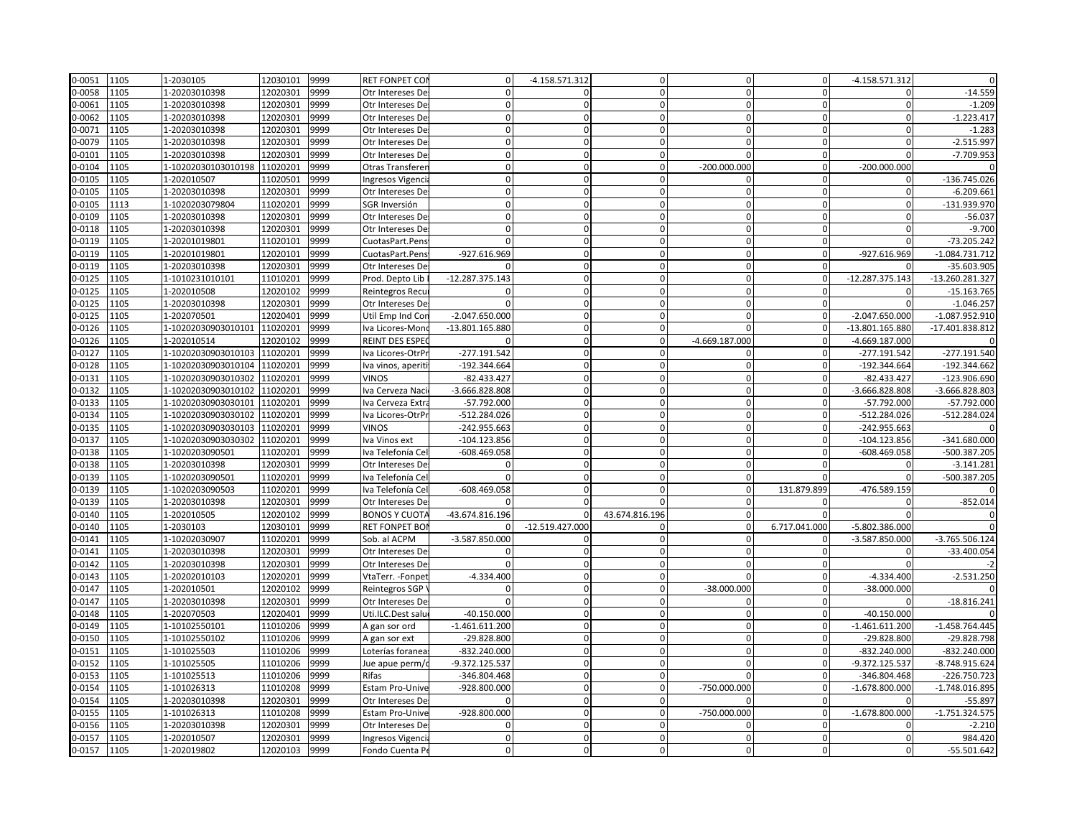| 0-0051 | 1105 | 1-2030105                    | 12030101 | 9999 | <b>RET FONPET COI</b>                | $\mathbf 0$       | -4.158.571.312  | $\Omega$       | $\Omega$         | $\mathbf{0}$   | $-4.158.571.312$ |                  |
|--------|------|------------------------------|----------|------|--------------------------------------|-------------------|-----------------|----------------|------------------|----------------|------------------|------------------|
| 0-0058 | 1105 | 1-20203010398                | 12020301 | 9999 | Otr Intereses De                     | $\Omega$          | $\Omega$        | $\Omega$       | $\Omega$         | $\Omega$       | $\Omega$         | $-14.559$        |
| 0-0061 | 1105 | 1-20203010398                | 12020301 | 9999 | Otr Intereses De                     | $\Omega$          | $\Omega$        |                | $\Omega$         |                | $\mathbf 0$      | $-1.209$         |
| 0-0062 | 1105 | 1-20203010398                | 12020301 | 9999 | Otr Intereses De                     | $\Omega$          | $\Omega$        | $\Omega$       | $\Omega$         | $\Omega$       | $\Omega$         | $-1.223.417$     |
| 0-0071 | 1105 | 1-20203010398                | 12020301 | 9999 | Otr Intereses De                     | $\mathbf 0$       | $\Omega$        |                | 0                | <sup>0</sup>   | $\Omega$         | $-1.283$         |
| 0-0079 | 1105 | 1-20203010398                | 12020301 | 9999 | Otr Intereses De                     | $\mathbf{0}$      | $\Omega$        |                | $\Omega$         | U              | $\mathbf 0$      | $-2.515.997$     |
| 0-0101 | 1105 | 1-20203010398                | 12020301 | 9999 | Otr Intereses De                     | $\Omega$          | $\mathbf 0$     | $\Omega$       | $\Omega$         | $\Omega$       | $\Omega$         | $-7.709.953$     |
| 0-0104 | 1105 | 1-10202030103010198          | 11020201 | 9999 | Otras Transferer                     | $\mathbf{0}$      | $\Omega$        | $\Omega$       | $-200.000.000$   | $\overline{0}$ | $-200.000.000$   |                  |
| 0-0105 | 1105 | 1-202010507                  | 11020501 | 9999 | Ingresos Vigenci                     | $\Omega$          | $\Omega$        | $\Omega$       | $\Omega$         | $\Omega$       | $\Omega$         | $-136.745.026$   |
| 0-0105 | 1105 | 1-20203010398                | 12020301 | 9999 | Otr Intereses De                     |                   | $\Omega$        |                | $\Omega$         |                | $\Omega$         | $-6.209.661$     |
| 0-0105 | 1113 | 1-1020203079804              | 11020201 | 9999 | SGR Inversión                        | $\Omega$          | $\mathbf 0$     | $\Omega$       | $\Omega$         |                | $\mathbf 0$      | $-131.939.970$   |
| 0-0109 | 1105 | 1-20203010398                | 12020301 | 9999 | Otr Intereses De                     | $\mathbf 0$       | $\Omega$        | $\Omega$       | $\mathbf{0}$     | $\Omega$       | $\Omega$         | $-56.037$        |
| 0-0118 | 1105 | 1-20203010398                | 12020301 | 9999 | Otr Intereses De                     | $\Omega$          | $\Omega$        |                | $\mathbf 0$      | $\Omega$       | $\Omega$         | $-9.700$         |
| 0-0119 | 1105 | 1-20201019801                | 11020101 | 9999 | CuotasPart.Pens                      | $\Omega$          | $\mathbf 0$     | $\Omega$       | $\Omega$         | $\Omega$       | $\Omega$         | -73.205.242      |
| 0-0119 | 1105 | 1-20201019801                | 12020101 | 9999 | CuotasPart.Pens                      | -927.616.969      | $\mathbf 0$     | $\Omega$       | $\mathbf 0$      | $\overline{0}$ | -927.616.969     | $-1.084.731.712$ |
| 0-0119 | 1105 | 1-20203010398                | 12020301 | 9999 | Otr Intereses De                     |                   | $\Omega$        |                | $\Omega$         | $\Omega$       |                  | $-35.603.905$    |
| 0-0125 | 1105 | 1-1010231010101              | 11010201 | 9999 | Prod. Depto Lib                      | -12.287.375.143   | $\Omega$        |                |                  |                | -12.287.375.143  | -13.260.281.327  |
| 0-0125 | 1105 | 1-202010508                  | 12020102 | 9999 | Reintegros Recu                      | $\Omega$          | $\mathbf 0$     | $\Omega$       | $\Omega$         | $\Omega$       | $\mathbf 0$      | $-15.163.765$    |
| 0-0125 | 1105 | 1-20203010398                | 12020301 | 9999 | Otr Intereses De                     |                   | $\Omega$        | $\Omega$       | $\Omega$         | $\Omega$       | $\Omega$         | $-1.046.25$      |
| 0-0125 | 1105 | 1-202070501                  | 12020401 | 9999 | Util Emp Ind Cor                     | $-2.047.650.000$  | $\Omega$        |                | $\Omega$         | $\Omega$       | $-2.047.650.000$ | $-1.087.952.910$ |
| 0-0126 | 1105 | 1-10202030903010101          | 11020201 | 9999 | Iva Licores-Mon                      | $-13.801.165.880$ | $\Omega$        | $\Omega$       | $\Omega$         | $\Omega$       | -13.801.165.880  | -17.401.838.812  |
| 0-0126 | 1105 | 1-202010514                  | 12020102 | 9999 | REINT DES ESPE                       |                   | $\mathbf 0$     | $\Omega$       | $-4.669.187.000$ | $\Omega$       | $-4.669.187.000$ |                  |
| 0-0127 | 1105 | 1-10202030903010103          | 11020201 | 9999 | Iva Licores-OtrPı                    | $-277.191.542$    | $\Omega$        | $\Omega$       | $\mathbf{0}$     | $\mathbf 0$    | $-277.191.542$   | $-277.191.540$   |
| 0-0128 | 1105 | 1-10202030903010104          | 11020201 | 9999 | Iva vinos, aperiti                   | $-192.344.664$    | $\Omega$        | $\Omega$       | $\Omega$         | $\Omega$       | -192.344.664     | $-192.344.662$   |
| 0-0131 | 1105 | 1-10202030903010302          | 11020201 | 9999 | <b>VINOS</b>                         | $-82.433.42$      | $\mathbf 0$     | $\Omega$       | $\mathbf 0$      | $\Omega$       | $-82.433.427$    | $-123.906.690$   |
| 0-0132 | 1105 | 1-10202030903010102          | 11020201 | 9999 | Iva Cerveza Naci                     | $-3.666.828.808$  | $\Omega$        | $\Omega$       | $\Omega$         | $\Omega$       | -3.666.828.808   | $-3.666.828.803$ |
| 0-0133 | 1105 | 1-10202030903030101          | 11020201 | 9999 | Iva Cerveza Extra                    | $-57.792.000$     | $\Omega$        |                | $\Omega$         | $\Omega$       | $-57.792.000$    | $-57.792.000$    |
| 0-0134 | 1105 | 1-10202030903030102          | 11020201 | 9999 | Iva Licores-OtrP                     | $-512.284.026$    | $\Omega$        |                | $\Omega$         |                | -512.284.026     | -512.284.024     |
| 0-0135 | 1105 | 1-10202030903030103          | 11020201 | 9999 | VINOS                                | -242.955.663      | $\Omega$        | $\Omega$       | $\Omega$         | $\Omega$       | $-242.955.663$   |                  |
| 0-0137 | 1105 | 1-10202030903030302          | 11020201 | 9999 | Iva Vinos ext                        | $-104.123.856$    | $\mathbf 0$     | $\Omega$       | $\mathbf 0$      | $\mathbf{0}$   | $-104.123.856$   | $-341.680.000$   |
| 0-0138 | 1105 | 1-1020203090501              | 11020201 | 9999 | Iva Telefonía Cel                    | -608.469.058      | $\Omega$        |                | $\Omega$         | U              | -608.469.058     | -500.387.205     |
| 0-0138 | 1105 | 1-20203010398                | 12020301 | 9999 | Otr Intereses De                     | $\Omega$          | $\mathbf 0$     | $\Omega$       | $\mathbf 0$      | $\Omega$       | 0                | $-3.141.281$     |
| 0-0139 | 1105 | 1-1020203090501              | 11020201 | 9999 | Iva Telefonía Cel                    | $\Omega$          | $\Omega$        | $\Omega$       | $\Omega$         |                | $\Omega$         | -500.387.205     |
| 0-0139 | 1105 | 1-1020203090503              | 11020201 | 9999 | Iva Telefonía Cel                    | $-608.469.058$    | $\Omega$        | $\Omega$       | $\Omega$         | 131.879.899    | -476.589.159     |                  |
| 0-0139 | 1105 | 1-20203010398                | 12020301 | 9999 | Otr Intereses De                     |                   | $\Omega$        |                | $\Omega$         |                | $\mathbf 0$      | $-852.014$       |
| 0-0140 | 1105 | 1-202010505                  | 12020102 | 9999 | <b>BONOS Y CUOTA</b>                 | -43.674.816.196   | $\Omega$        | 43.674.816.196 | $\Omega$         | $\Omega$       | $\Omega$         |                  |
| 0-0140 | 1105 | 1-2030103                    | 12030101 | 9999 | <b>RET FONPET BO</b>                 | o                 | -12.519.427.000 |                | $\Omega$         | 6.717.041.000  | -5.802.386.000   |                  |
| 0-0141 | 1105 | 1-10202030907                | 11020201 | 9999 | Sob. al ACPM                         | $-3.587.850.000$  |                 |                |                  |                | $-3.587.850.000$ | $-3.765.506.124$ |
| 0-0141 | 1105 | 1-20203010398                | 12020301 | 9999 | Otr Intereses De                     | $\Omega$          | $\mathbf 0$     |                | $\Omega$         | $\Omega$       | $\Omega$         | -33.400.054      |
| 0-0142 | 1105 | 1-20203010398                | 12020301 | 9999 | Otr Intereses De                     | $\Omega$          | $\Omega$        | $\Omega$       | $\Omega$         | $\mathbf{0}$   | $\Omega$         |                  |
| 0-0143 | 1105 | 1-20202010103                | 12020201 | 9999 | VtaTerr. -Fonpet                     | $-4.334.400$      | $\Omega$        |                |                  | $\Omega$       | $-4.334.400$     | $-2.531.250$     |
| 0-0147 | 1105 | 1-202010501                  | 12020102 | 9999 | Reintegros SGP                       |                   | $\Omega$        |                | $-38.000.000$    |                | -38.000.000      |                  |
| 0-0147 | 1105 | 1-20203010398                | 12020301 | 9999 | Otr Intereses De                     | $\Omega$          | $\Omega$        | $\Omega$       | $\Omega$         | $\Omega$       | $\Omega$         | $-18.816.241$    |
| 0-0148 | 1105 | 1-202070503                  | 12020401 | 9999 | Uti.ILC.Dest salu                    | $-40.150.000$     | $\Omega$        | <sup>0</sup>   | $\mathbf 0$      | $\mathbf{0}$   | $-40.150.000$    |                  |
| 0-0149 | 1105 | 1-10102550101                | 11010206 | 9999 | A gan sor ord                        | $-1.461.611.200$  | $\Omega$        |                |                  |                | $-1.461.611.200$ | $-1.458.764.445$ |
| 0-0150 | 1105 | 1-10102550102                | 11010206 | 9999 | A gan sor ext                        | $-29.828.800$     | $\mathbf 0$     | $\Omega$       | $\Omega$         | $\Omega$       | -29.828.800      | -29.828.798      |
| 0-0151 | 1105 | 1-101025503                  | 11010206 | 9999 | Loterías foranea                     | -832.240.000      | $\mathbf{0}$    | $\Omega$       | $\Omega$         | $\mathbf{0}$   | -832.240.000     | $-832.240.000$   |
| 0-0152 | 1105 | 1-101025505                  | 11010206 | 9999 | Jue apue perm/c                      | -9.372.125.537    | $\Omega$        | $\Omega$       | $\Omega$         | $\Omega$       | -9.372.125.537   | -8.748.915.624   |
| 0-0153 | 1105 | 1-101025513                  | 11010206 | 9999 | Rifas                                | -346.804.468      | $\Omega$        |                |                  |                | -346.804.468     | $-226.750.723$   |
| 0-0154 | 1105 | 1-101026313                  | 11010208 | 9999 | Estam Pro-Unive                      | -928.800.000      | $\mathbf 0$     | $\Omega$       | -750.000.000     | $\Omega$       | $-1.678.800.000$ | $-1.748.016.895$ |
| 0-0154 | 1105 | 1-20203010398                | 12020301 | 9999 | Otr Intereses De                     | <sup>0</sup>      | $\Omega$        |                | $\Omega$         | $\Omega$       | <sup>0</sup>     | $-55.897$        |
| 0-0155 | 1105 | 1-101026313                  | 11010208 | 9999 | <b>Estam Pro-Unive</b>               | -928.800.000      | $\Omega$        | $\Omega$       | -750.000.000     | $\Omega$       | $-1.678.800.000$ | $-1.751.324.575$ |
| 0-0156 | 1105 |                              | 12020301 | 9999 |                                      | $\Omega$          | $\Omega$        | $\Omega$       | $\Omega$         | $\Omega$       | $\Omega$         | $-2.210$         |
| 0-0157 | 1105 | 1-20203010398<br>1-202010507 | 12020301 | 9999 | Otr Intereses De<br>Ingresos Vigenci | $\mathbf{0}$      | $\mathbf 0$     | $\Omega$       | $\mathbf 0$      | $\Omega$       | $\Omega$         | 984.420          |
|        |      |                              |          | 9999 |                                      | $\Omega$          | $\mathbf 0$     | $\Omega$       | $\Omega$         |                | $\Omega$         |                  |
| 0-0157 | 1105 | 1-202019802                  | 12020103 |      | Fondo Cuenta Pe                      |                   |                 |                |                  |                |                  | $-55.501.642$    |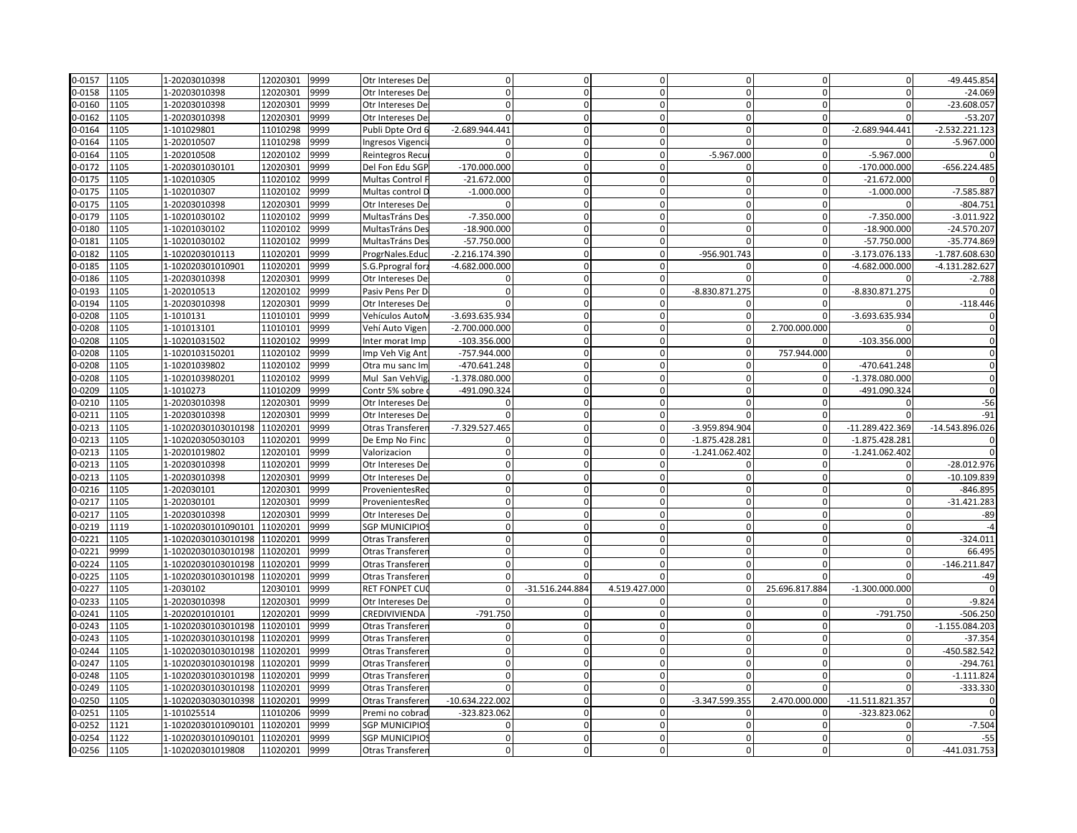| 0-0157 | 1105 | 1-20203010398       | 12020301 | 9999 | Otr Intereses De      | $\Omega$          | $\mathbf 0$     | $\Omega$       | $\Omega$         | $\Omega$       | $\Omega$          | -49.445.854      |
|--------|------|---------------------|----------|------|-----------------------|-------------------|-----------------|----------------|------------------|----------------|-------------------|------------------|
| 0-0158 | 1105 | 1-20203010398       | 12020301 | 9999 | Otr Intereses De      | $\mathbf{0}$      | $\Omega$        | $\Omega$       | $\Omega$         | $\overline{0}$ | $\Omega$          | $-24.069$        |
| 0-0160 | 1105 | 1-20203010398       | 12020301 | 9999 | Otr Intereses De      | $\Omega$          | $\Omega$        | $\overline{0}$ | $\Omega$         | $\Omega$       | $\mathbf 0$       | $-23.608.057$    |
| 0-0162 | 1105 | 1-20203010398       | 12020301 | 9999 | Otr Intereses De      |                   | $\Omega$        |                |                  | $\Omega$       |                   | $-53.207$        |
| 0-0164 | 1105 | 1-101029801         | 11010298 | 9999 | Publi Dpte Ord 6      | $-2.689.944.441$  | $\Omega$        | $\Omega$       | $\Omega$         | $\Omega$       | -2.689.944.441    | $-2.532.221.123$ |
| 0-0164 | 1105 | 1-202010507         | 11010298 | 9999 | Ingresos Vigenci      | $\mathbf{0}$      | $\mathbf 0$     | $\mathbf{0}$   | $\Omega$         | $\overline{0}$ |                   | $-5.967.000$     |
| 0-0164 | 1105 | 1-202010508         | 12020102 | 9999 | Reintegros Recu       |                   | $\Omega$        | $\mathbf{0}$   | $-5.967.000$     | $\mathbf{0}$   | $-5.967.000$      |                  |
| 0-0172 | 1105 | 1-2020301030101     | 12020301 | 9999 | Del Fon Edu SGF       | $-170.000.000$    | $\Omega$        | $\Omega$       |                  | $\Omega$       | $-170.000.000$    | -656.224.485     |
| 0-0175 | 1105 | 1-102010305         | 11020102 | 9999 | Multas Control F      | $-21.672.000$     | $\mathbf 0$     | $\overline{0}$ | $\mathbf 0$      | $\overline{0}$ | $-21.672.000$     |                  |
| 0-0175 | 1105 | 1-102010307         | 11020102 | 9999 | Multas control D      | $-1.000.000$      | $\Omega$        | $\Omega$       | $\Omega$         | $\Omega$       | $-1.000.000$      | $-7.585.887$     |
| 0-0175 | 1105 | 1-20203010398       | 12020301 | 9999 | Otr Intereses De      |                   | $\Omega$        |                |                  | <sup>0</sup>   |                   | $-804.751$       |
| 0-0179 | 1105 | 1-10201030102       | 11020102 | 9999 | MultasTráns Des       | $-7.350.000$      | $\mathbf 0$     | $\mathbf{0}$   | $\mathbf 0$      | $\mathbf{0}$   | $-7.350.000$      | $-3.011.922$     |
|        |      |                     |          |      |                       |                   | $\Omega$        |                |                  | $\Omega$       |                   |                  |
| 0-0180 | 1105 | 1-10201030102       | 11020102 | 9999 | MultasTráns De        | $-18.900.000$     | $\Omega$        | $\Omega$       | $\Omega$         | $\Omega$       | $-18.900.000$     | $-24.570.207$    |
| 0-0181 | 1105 | 1-10201030102       | 11020102 | 9999 | MultasTráns Des       | $-57.750.000$     | $\Omega$        | $\Omega$       |                  | $\Omega$       | -57.750.000       | -35.774.869      |
| 0-0182 | 1105 | 1-1020203010113     | 11020201 | 9999 | ProgrNales.Educ       | $-2.216.174.390$  |                 |                | -956.901.743     |                | $-3.173.076.133$  | $-1.787.608.630$ |
| 0-0185 | 1105 | 1-102020301010901   | 11020201 | 9999 | S.G.Pprogral for      | $-4.682.000.000$  | $\Omega$        | $\Omega$       | $\Omega$         | $\Omega$       | -4.682.000.000    | -4.131.282.627   |
| 0-0186 | 1105 | 1-20203010398       | 12020301 | 9999 | Otr Intereses De      | $\overline{0}$    | $\Omega$        | $\overline{0}$ |                  | $\overline{0}$ | $\Omega$          | $-2.788$         |
| 0-0193 | 1105 | 1-202010513         | 12020102 | 9999 | Pasiv Pens Per D      | $\Omega$          | $\Omega$        | $\mathbf{0}$   | -8.830.871.275   | $\Omega$       | -8.830.871.275    |                  |
| 0-0194 | 1105 | 1-20203010398       | 12020301 | 9999 | Otr Intereses De      | $\Omega$          | $\mathbf 0$     | $\Omega$       |                  | $\Omega$       |                   | $-118.446$       |
| 0-0208 | 1105 | 1-1010131           | 11010101 | 9999 | Vehículos AutoN       | -3.693.635.934    | $\Omega$        | $\Omega$       | $\Omega$         | <sup>n</sup>   | -3.693.635.934    | $\mathbf 0$      |
| 0-0208 | 1105 | 1-101013101         | 11010101 | 9999 | Vehí Auto Vigen       | $-2.700.000.000$  | $\Omega$        | $\Omega$       | $\Omega$         | 2.700.000.000  |                   | $\Omega$         |
| 0-0208 | 1105 | 1-10201031502       | 11020102 | 9999 | Inter morat Imp       | $-103.356.000$    | $\mathbf 0$     | $\mathbf{0}$   | $\mathbf 0$      |                | $-103.356.000$    |                  |
| 0-0208 | 1105 | 1-1020103150201     | 11020102 | 9999 | Imp Veh Vig Ant       | -757.944.000      | $\mathbf 0$     | $\Omega$       | $\Omega$         | 757.944.000    |                   | $\Omega$         |
| 0-0208 | 1105 | 1-10201039802       | 11020102 | 9999 | Otra mu sanc Im       | -470.641.248      | $\mathbf 0$     | $\mathbf{0}$   | $\mathbf 0$      | $\mathbf{0}$   | -470.641.248      | $\overline{0}$   |
| 0-0208 | 1105 | 1-1020103980201     | 11020102 | 9999 | Mul San VehVig        | $-1.378.080.000$  | $\Omega$        | $\Omega$       |                  | $\Omega$       | $-1.378.080.000$  | $\mathbf{0}$     |
| 0-0209 | 1105 | 1-1010273           | 11010209 | 9999 | Contr 5% sobre        | -491.090.324      | $\mathbf 0$     | $\Omega$       | $\Omega$         | $\Omega$       | -491.090.324      | $\Omega$         |
| 0-0210 | 1105 | 1-20203010398       | 12020301 | 9999 | Otr Intereses De      | $\mathbf{0}$      | $\mathbf 0$     | $\mathbf{0}$   | $\mathbf 0$      | $\overline{0}$ | 0                 | -56              |
| 0-0211 | 1105 | 1-20203010398       | 12020301 | 9999 | Otr Intereses De      | $\Omega$          | $\Omega$        | $\overline{0}$ |                  | $\Omega$       |                   | $-91$            |
| 0-0213 | 1105 | 1-10202030103010198 | 11020201 | 9999 | Otras Transferer      | -7.329.527.465    | $\Omega$        | $\Omega$       | -3.959.894.904   | $\Omega$       | -11.289.422.369   | -14.543.896.026  |
| 0-0213 | 1105 | 1-102020305030103   | 11020201 | 9999 | De Emp No Finc        | $\mathbf{0}$      | $\Omega$        | $\overline{0}$ | $-1.875.428.281$ | $\mathbf{0}$   | $-1.875.428.281$  |                  |
| 0-0213 | 1105 | 1-20201019802       | 12020101 | 9999 | Valorizacion          | $\Omega$          | $\Omega$        | $\overline{0}$ | $-1.241.062.402$ | $\Omega$       | $-1.241.062.402$  | $\Omega$         |
| 0-0213 | 1105 | 1-20203010398       | 11020201 | 9999 | Otr Intereses De      | $\Omega$          |                 |                |                  | $\Omega$       |                   | $-28.012.976$    |
| 0-0213 | 1105 | 1-20203010398       | 12020301 | 9999 | Otr Intereses De      | $\Omega$          | $\mathbf 0$     | $\Omega$       | $\Omega$         | $\Omega$       | $\Omega$          | $-10.109.839$    |
| 0-0216 | 1105 | 1-202030101         | 12020301 | 9999 | ProvenientesRe        | $\Omega$          | $\mathbf 0$     | $\overline{0}$ | $\Omega$         | $\Omega$       | $\Omega$          | $-846.895$       |
| 0-0217 | 1105 | 1-202030101         | 12020301 | 9999 | ProvenientesRe        | $\Omega$          | $\Omega$        | $\Omega$       | $\Omega$         | $\Omega$       | $\Omega$          | $-31.421.283$    |
| 0-0217 | 1105 | 1-20203010398       | 12020301 | 9999 | Otr Intereses De      | $\Omega$          | $\Omega$        | $\Omega$       | $\Omega$         | $\Omega$       | $\Omega$          | -89              |
| 0-0219 | 1119 | 1-10202030101090101 | 11020201 | 9999 | <b>SGP MUNICIPIO:</b> | $\Omega$          | $\Omega$        | $\Omega$       | $\Omega$         | $\Omega$       | $\Omega$          |                  |
| 0-0221 | 1105 | 1-10202030103010198 | 11020201 | 9999 | Otras Transferer      | $\Omega$          | $\Omega$        | $\Omega$       | $\Omega$         | $\Omega$       | $\Omega$          | $-324.011$       |
| 0-0221 | 9999 | 1-10202030103010198 | 11020201 | 9999 | Otras Transferer      | O                 |                 |                |                  | <sup>0</sup>   |                   | 66.495           |
| 0-0224 | 1105 | 1-10202030103010198 | 11020201 | 9999 | Otras Transferer      | $\mathbf 0$       | $\mathbf 0$     | $\mathbf{0}$   | $\mathbf 0$      | $\mathbf{0}$   | $\Omega$          | $-146.211.847$   |
| 0-0225 | 1105 | 1-10202030103010198 | 11020201 | 9999 | Otras Transferer      | $\Omega$          |                 | $\Omega$       | $\Omega$         | $\Omega$       | $\Omega$          | -49              |
| 0-0227 | 1105 | 1-2030102           | 12030101 | 9999 | RET FONPET CU         | O                 | -31.516.244.884 | 4.519.427.000  |                  | 25.696.817.884 | $-1.300.000.000$  |                  |
| 0-0233 | 1105 | 1-20203010398       | 12020301 | 9999 | Otr Intereses De      |                   |                 |                |                  |                |                   | $-9.824$         |
| 0-0241 | 1105 | 1-2020201010101     | 12020201 | 9999 | CREDIVIVIENDA         | $-791.750$        | $\Omega$        | $\Omega$       | $\Omega$         | $\Omega$       | $-791.750$        | $-506.250$       |
| 0-0243 | 1105 | 1-10202030103010198 | 11020101 | 9999 | Otras Transferer      | $\Omega$          | $\Omega$        | $\overline{0}$ | $\Omega$         | $\overline{0}$ | $\Omega$          | $-1.155.084.203$ |
|        |      |                     |          |      |                       | U                 | $\Omega$        | $\Omega$       |                  | <sup>n</sup>   | $\Omega$          |                  |
| 0-0243 | 1105 | 1-10202030103010198 | 11020201 | 9999 | Otras Transferer      | $\mathbf{0}$      | $\mathbf 0$     | $\Omega$       | $\Omega$         | $\overline{0}$ | $\Omega$          | $-37.354$        |
| 0-0244 | 1105 | 1-10202030103010198 | 11020201 | 9999 | Otras Transferer      | $\Omega$          | $\Omega$        |                | $\Omega$         | $\Omega$       | $\Omega$          | -450.582.542     |
| 0-0247 | 1105 | 1-10202030103010198 | 11020201 | 9999 | Otras Transferer      |                   | $\Omega$        | $\Omega$       |                  | $\Omega$       |                   | $-294.761$       |
| 0-0248 | 1105 | 1-10202030103010198 | 11020201 | 9999 | Otras Transferer      |                   |                 | $\Omega$       |                  |                | $\Omega$          | $-1.111.824$     |
| 0-0249 | 1105 | 1-10202030103010198 | 11020201 | 9999 | Otras Transferer      |                   | $\Omega$        |                |                  |                |                   | -333.330         |
| 0-0250 | 1105 | 1-10202030303010398 | 11020201 | 9999 | Otras Transferer      | $-10.634.222.002$ | $\Omega$        | $\Omega$       | -3.347.599.355   | 2.470.000.000  | $-11.511.821.357$ | $\Omega$         |
| 0-0251 | 1105 | 1-101025514         | 11010206 | 9999 | Premi no cobrad       | -323.823.062      | $\mathbf 0$     | $\mathbf{0}$   | $\mathbf 0$      | $\mathbf{0}$   | -323.823.062      |                  |
| 0-0252 | 1121 | 1-10202030101090101 | 11020201 | 9999 | SGP MUNICIPIO         | U                 |                 |                |                  | <sup>0</sup>   |                   | $-7.504$         |
| 0-0254 | 1122 | 1-10202030101090101 | 11020201 | 9999 | <b>SGP MUNICIPIOS</b> | $\Omega$          | $\mathbf 0$     | $\Omega$       | $\Omega$         | $\Omega$       | $\Omega$          | $-55$            |
| 0-0256 | 1105 | 1-102020301019808   | 11020201 | 9999 | Otras Transferen      | $\overline{0}$    | 0               | $\overline{0}$ | $\Omega$         | 0              | 0                 | -441.031.753     |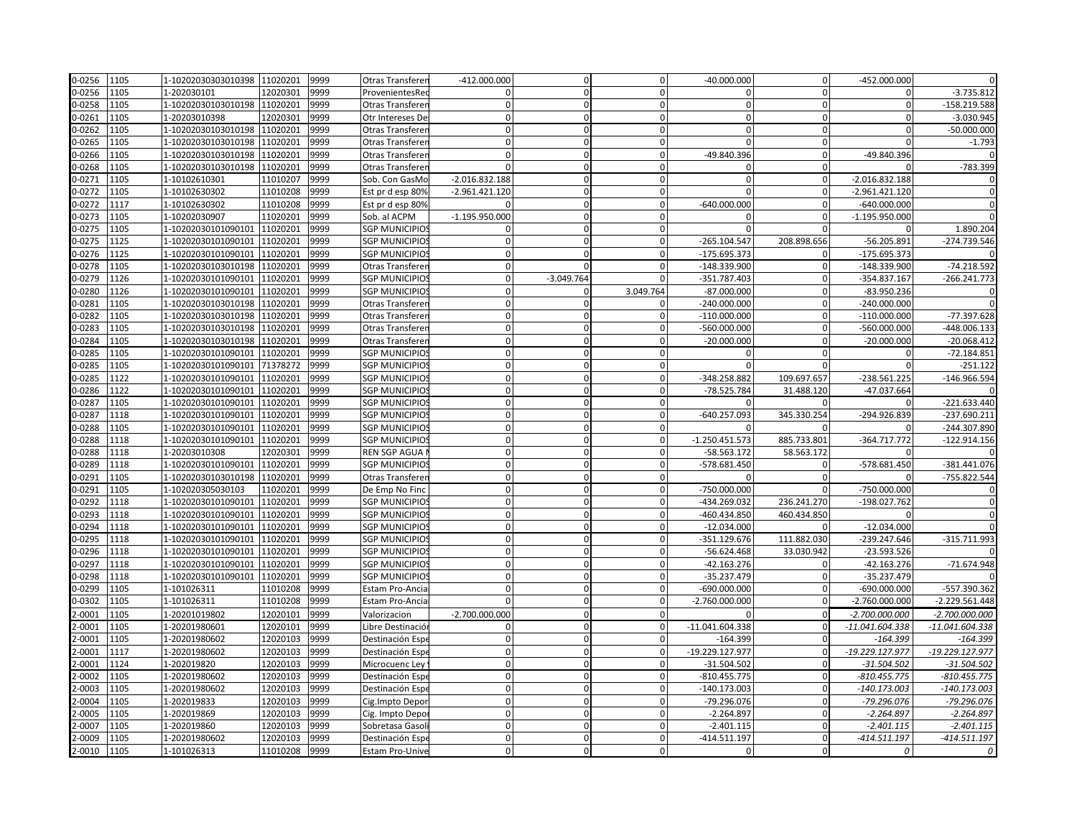| 0-0256     | 1105 | 1-10202030303010398 11020201 |          | 9999 | Otras Transferen       | $-412.000.000$   | $\mathbf 0$  | $\overline{0}$ | $-40.000.000$    | $\overline{0}$ | -452.000.000      |                  |
|------------|------|------------------------------|----------|------|------------------------|------------------|--------------|----------------|------------------|----------------|-------------------|------------------|
| 0-0256     | 1105 | 1-202030101                  | 12020301 | 9999 | ProvenientesRe         | $\Omega$         | $\Omega$     | $\Omega$       | n                | $\Omega$       |                   | $-3.735.812$     |
| 0-0258     | 1105 | 1-10202030103010198          | 11020201 | 9999 | Otras Transferer       | $\mathbf{0}$     | $\Omega$     | $\Omega$       | $\Omega$         | οl             |                   | -158.219.588     |
| 0-0261     | 1105 | 1-20203010398                | 12020301 | 9999 | Otr Intereses De       | $\mathbf{0}$     | $\mathbf 0$  | $\overline{0}$ | $\mathbf 0$      | $\mathbf{0}$   | $\Omega$          | $-3.030.945$     |
| 0-0262     | 1105 | 1-10202030103010198          | 11020201 | 9999 | Otras Transferer       | $\Omega$         | $\Omega$     | $\Omega$       | $\Omega$         | $\Omega$       | $\Omega$          | $-50.000.000$    |
| 0-0265     | 1105 | 1-10202030103010198          | 11020201 | 9999 | Otras Transferer       | O                | $\Omega$     | $\Omega$       | $\Omega$         | $\Omega$       | $\Omega$          | $-1.793$         |
| 0-0266     | 1105 | 1-10202030103010198          | 11020201 | 9999 | Otras Transferer       | $\Omega$         | $\Omega$     |                | -49.840.396      | $\Omega$       | -49.840.396       |                  |
| 0-0268     | 1105 | 1-10202030103010198          | 11020201 | 9999 | Otras Transferer       | $\Omega$         | $\mathbf 0$  | $\Omega$       | $\Omega$         | $\Omega$       |                   | -783.399         |
| 0-0271     | 1105 | 1-10102610301                | 11010207 | 9999 | Sob. Con GasMo         | $-2.016.832.188$ | $\mathbf 0$  | $\overline{0}$ | $\mathbf 0$      | $\overline{0}$ | $-2.016.832.188$  | $\mathbf 0$      |
| 0-0272     | 1105 | 1-10102630302                | 11010208 | 9999 | Est pr d esp 80%       | $-2.961.421.120$ | $\Omega$     | $\Omega$       |                  | $\Omega$       | $-2.961.421.120$  | $\mathbf{0}$     |
| 0-0272     | 1117 | 1-10102630302                | 11010208 | 9999 | Est pr d esp 80%       | $\Omega$         | $\mathbf 0$  | $\overline{0}$ | $-640.000.000$   | $\overline{0}$ | $-640.000.000$    |                  |
| 0-0273     | 1105 | 1-10202030907                | 11020201 | 9999 | Sob. al ACPM           | $-1.195.950.000$ | $\Omega$     | $\Omega$       | <sup>0</sup>     | $\Omega$       | $-1.195.950.000$  | $\Omega$         |
| 0-0275     | 1105 | 1-10202030101090101          | 11020201 | 9999 | <b>SGP MUNICIPIO</b>   | $\Omega$         | $\Omega$     | $\overline{0}$ |                  | $\Omega$       |                   | 1.890.204        |
| 0-0275     | 1125 | 1-10202030101090101          | 11020201 | 9999 | <b>SGP MUNICIPIO</b>   | U                | $\Omega$     |                | -265.104.547     | 208.898.656    | $-56.205.891$     | -274.739.546     |
| 0-0276     | 1125 | 1-10202030101090101          | 11020201 | 9999 | <b>SGP MUNICIPIOS</b>  | $\Omega$         | $\Omega$     | $\Omega$       | $-175.695.373$   | $\Omega$       | $-175.695.373$    |                  |
| 0-0278     | 1105 | 1-10202030103010198          | 11020201 | 9999 | Otras Transferer       | $\mathbf{0}$     | $\Omega$     | $\Omega$       | -148.339.900     | $\overline{0}$ | -148.339.900      | $-74.218.592$    |
| 0-0279     | 1126 | 1-10202030101090101          | 11020201 | 9999 | SGP MUNICIPIO          | O                | $-3.049.764$ |                | -351.787.403     | $\Omega$       | -354.837.167      | $-266.241.773$   |
| 0-0280     | 1126 | 1-10202030101090101          | 11020201 | 9999 | <b>SGP MUNICIPIOS</b>  | $\Omega$         | $\mathbf 0$  | 3.049.764      | $-87.000.000$    | $\Omega$       | $-83.950.236$     | $\mathbf{0}$     |
| 0-0281     | 1105 | 1-10202030103010198          | 11020201 | 9999 | Otras Transferer       | $\mathbf{0}$     | $\mathbf 0$  | $\Omega$       | $-240.000.000$   | $\overline{0}$ | $-240.000.000$    | $\Omega$         |
| 0-0282     | 1105 | 1-10202030103010198          | 11020201 | 9999 | Otras Transferer       | $\Omega$         | $\Omega$     | $\Omega$       | $-110.000.000$   | $\Omega$       | $-110.000.000$    | -77.397.628      |
| 0-0283     | 1105 | 1-10202030103010198          | 11020201 | 9999 | Otras Transferer       | $\Omega$         | $\Omega$     |                | -560.000.000     | $\Omega$       | $-560.000.000$    | -448.006.133     |
| 0-0284     | 1105 | 1-10202030103010198          | 11020201 | 9999 | Otras Transferer       | $\mathbf{0}$     | $\mathbf 0$  | $\Omega$       | $-20.000.000$    | $\overline{0}$ | $-20.000.000$     | $-20.068.412$    |
| 0-0285     | 1105 | 1-10202030101090101          | 11020201 | 9999 | <b>SGP MUNICIPIO:</b>  | $\Omega$         | $\Omega$     | $\Omega$       | $\Omega$         | $\Omega$       | $\Omega$          | $-72.184.851$    |
| 0-0285     | 1105 | 1-10202030101090101          | 71378272 | 9999 | SGP MUNICIPIO          | $\Omega$         | $\Omega$     | $\mathbf{0}$   |                  |                |                   | $-251.122$       |
| 0-0285     | 1122 | 1-10202030101090101          | 11020201 | 9999 | <b>SGP MUNICIPIO</b>   | $\Omega$         | $\Omega$     | $\Omega$       | -348.258.882     | 109.697.657    | -238.561.225      | -146.966.594     |
| 0-0286     | 1122 | 1-10202030101090101          | 11020201 | 9999 | <b>SGP MUNICIPIO:</b>  | $\Omega$         | $\mathbf 0$  | $\mathbf{0}$   | -78.525.784      | 31.488.120     | -47.037.664       | $\Omega$         |
| 0-0287     | 1105 | 1-10202030101090101          | 11020201 | 9999 | <b>SGP MUNICIPIO</b>   | $\Omega$         | $\Omega$     | $\Omega$       |                  |                |                   | $-221.633.440$   |
| 0-0287     | 1118 | 1-10202030101090101          | 11020201 | 9999 | <b>SGP MUNICIPIO</b>   | $\Omega$         | $\Omega$     | $\Omega$       | -640.257.093     | 345.330.254    | -294.926.839      | -237.690.211     |
| 0-0288     | 1105 | 1-10202030101090101          | 11020201 | 9999 | <b>SGP MUNICIPIO:</b>  | $\Omega$         | $\Omega$     | $\Omega$       |                  |                |                   | -244.307.890     |
| 0-0288     | 1118 | 1-10202030101090101          | 11020201 | 9999 | <b>SGP MUNICIPIO:</b>  | $\Omega$         | $\Omega$     | $\overline{0}$ | $-1.250.451.573$ | 885.733.801    | $-364.717.772$    | $-122.914.156$   |
| 0-0288     | 1118 | 1-20203010308                | 12020301 | 9999 | REN SGP AGUA           | $\Omega$         | $\Omega$     | $\Omega$       | $-58.563.172$    | 58.563.172     | $\Omega$          |                  |
| 0-0289     | 1118 | 1-10202030101090101          | 11020201 | 9999 | <b>SGP MUNICIPIO:</b>  | $\mathbf{0}$     | $\mathbf 0$  | $\overline{0}$ | -578.681.450     | $\mathbf{0}$   | -578.681.450      | -381.441.076     |
| 0-0291     | 1105 | 1-10202030103010198          | 11020201 | 9999 | Otras Transferer       | $\mathbf{0}$     | $\mathbf{0}$ | $\mathbf{0}$   |                  | $\overline{0}$ |                   | -755.822.544     |
| 0-0291     | 1105 | 1-102020305030103            | 11020201 | 9999 | De Emp No Finc         | $\overline{0}$   | $\Omega$     | $\overline{0}$ | -750.000.000     | $\Omega$       | -750.000.000      | $\overline{0}$   |
| 0-0292     | 1118 | 1-10202030101090101          | 11020201 | 9999 | <b>SGP MUNICIPIO</b>   | $\Omega$         | $\Omega$     |                | -434.269.032     | 236.241.270    | -198.027.762      |                  |
| 0-0293     | 1118 | 1-10202030101090101          | 11020201 | 9999 | <b>SGP MUNICIPIO:</b>  | $\Omega$         | $\Omega$     | $\Omega$       | -460.434.850     | 460.434.850    |                   |                  |
| 0-0294     | 1118 | 1-10202030101090101          | 11020201 | 9999 | <b>SGP MUNICIPIO:</b>  | $\overline{0}$   | $\Omega$     | $\mathbf{0}$   | $-12.034.000$    | <sup>n</sup>   | $-12.034.000$     |                  |
| 0-0295     | 1118 | 1-10202030101090101          | 11020201 | 9999 | SGP MUNICIPIO          | $\Omega$         | $\Omega$     | $\Omega$       | -351.129.676     | 111.882.030    | -239.247.646      | $-315.711.993$   |
| 0-0296     | 1118 | 1-10202030101090101          | 11020201 | 9999 | <b>SGP MUNICIPIO</b>   | $\mathbf{0}$     | $\mathbf 0$  | $\Omega$       | $-56.624.468$    | 33.030.942     | $-23.593.526$     |                  |
| 0-0297     | 1118 | 1-10202030101090101          | 11020201 | 9999 | <b>SGP MUNICIPIO:</b>  | $\Omega$         | $\Omega$     | $\Omega$       | $-42.163.276$    | $\Omega$       | $-42.163.276$     | $-71.674.948$    |
| 0-0298     | 1118 | 1-10202030101090101          | 11020201 | 9999 | <b>SGP MUNICIPIO:</b>  | $\Omega$         | $\Omega$     | $\mathbf{0}$   | $-35.237.479$    | $\overline{0}$ | $-35.237.479$     |                  |
| 0-0299     | 1105 | 1-101026311                  | 11010208 | 9999 | Estam Pro-Ancia        | $\overline{0}$   | $\Omega$     |                | $-690.000.000$   | $\Omega$       | $-690.000.000$    | -557.390.362     |
| 0-0302     | 1105 | 1-101026311                  | 11010208 | 9999 | Estam Pro-Ancia        | $\Omega$         | $\Omega$     | $\Omega$       | $-2.760.000.000$ | $\Omega$       | $-2.760.000.000$  | $-2.229.561.448$ |
| $2 - 0001$ | 1105 | 1-20201019802                | 12020101 | 9999 | Valorizacion           | $-2.700.000.000$ | $\mathbf{0}$ | $\mathbf{0}$   |                  | $\Omega$       | $-2.700.000.000$  | $-2.700.000.000$ |
| $2 - 0001$ | 1105 | 1-20201980601                | 12020101 | 9999 | Libre Destinación      | $\Omega$         | $\Omega$     | $\mathbf{0}$   | -11.041.604.338  |                | $-11.041.604.338$ | -11.041.604.338  |
| $-0001$    | 1105 | 1-20201980602                | 12020103 | 9999 | Destinación Espe       | $\Omega$         | $\Omega$     | $\Omega$       | $-164.399$       |                | $-164.399$        | $-164.399$       |
| $2 - 0001$ | 1117 | 1-20201980602                | 12020103 | 9999 | Destinación Esp        | $\Omega$         | $\Omega$     | $\Omega$       | -19.229.127.977  |                | -19.229.127.977   | -19.229.127.977  |
| $-0001$    | 1124 | 1-202019820                  | 12020103 | 9999 | Microcuenc Ley         | $\Omega$         | $\Omega$     | $\Omega$       | $-31.504.502$    | $\Omega$       | $-31.504.502$     | $-31.504.502$    |
| 2-0002     | 1105 | 1-20201980602                | 12020103 | 9999 | Destinación Espe       | $\Omega$         | $\Omega$     | $\Omega$       | $-810.455.775$   |                | $-810.455.775$    | $-810.455.775$   |
| $2 - 0003$ | 1105 | 1-20201980602                | 12020103 | 9999 | Destinación Esp        | $\mathbf{0}$     | $\mathbf 0$  | $\mathbf{0}$   | $-140.173.003$   | $\Omega$       | -140.173.003      | -140.173.003     |
| 1-0004     | 1105 | 1-202019833                  | 12020103 | 9999 | Cig. Impto Depor       | $\Omega$         | $\mathbf 0$  | $\mathbf{0}$   | -79.296.076      | $\Omega$       | -79.296.076       | -79.296.076      |
| $-0005$    | 1105 | 1-202019869                  | 12020103 | 9999 | Cig. Impto Depo        | $\Omega$         | $\mathbf 0$  | $\mathbf{0}$   | $-2.264.897$     |                | $-2.264.897$      | $-2.264.897$     |
| $-0007$    | 1105 | 1-202019860                  | 12020103 | 9999 | Sobretasa Gasol        | $\Omega$         | $\Omega$     |                | $-2.401.115$     |                | $-2.401.115$      | $-2.401.115$     |
| 2-0009     | 1105 | 1-20201980602                | 12020103 | 9999 | Destinación Espe       | $\Omega$         | $\mathbf 0$  | $\Omega$       | -414.511.197     |                | $-414.511.197$    | -414.511.197     |
| 2-0010     | 1105 | 1-101026313                  | 11010208 | 9999 | <b>Estam Pro-Unive</b> | $\overline{0}$   | 0            | $\overline{0}$ | $\Omega$         | $\Omega$       | 0                 | 0                |